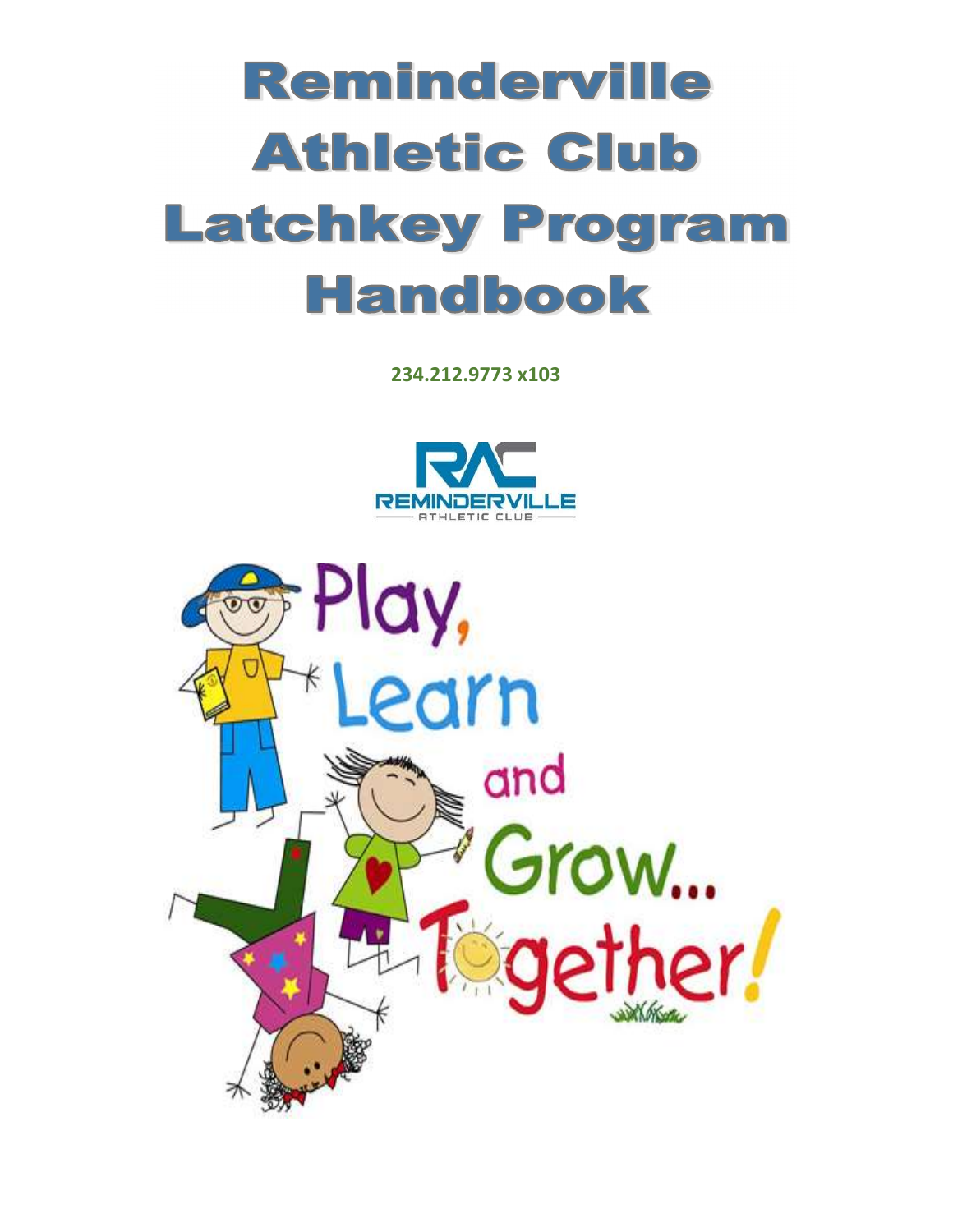# Reminderville **Athletic Club Latchkey Program Handbook**

234.212.9773 x103



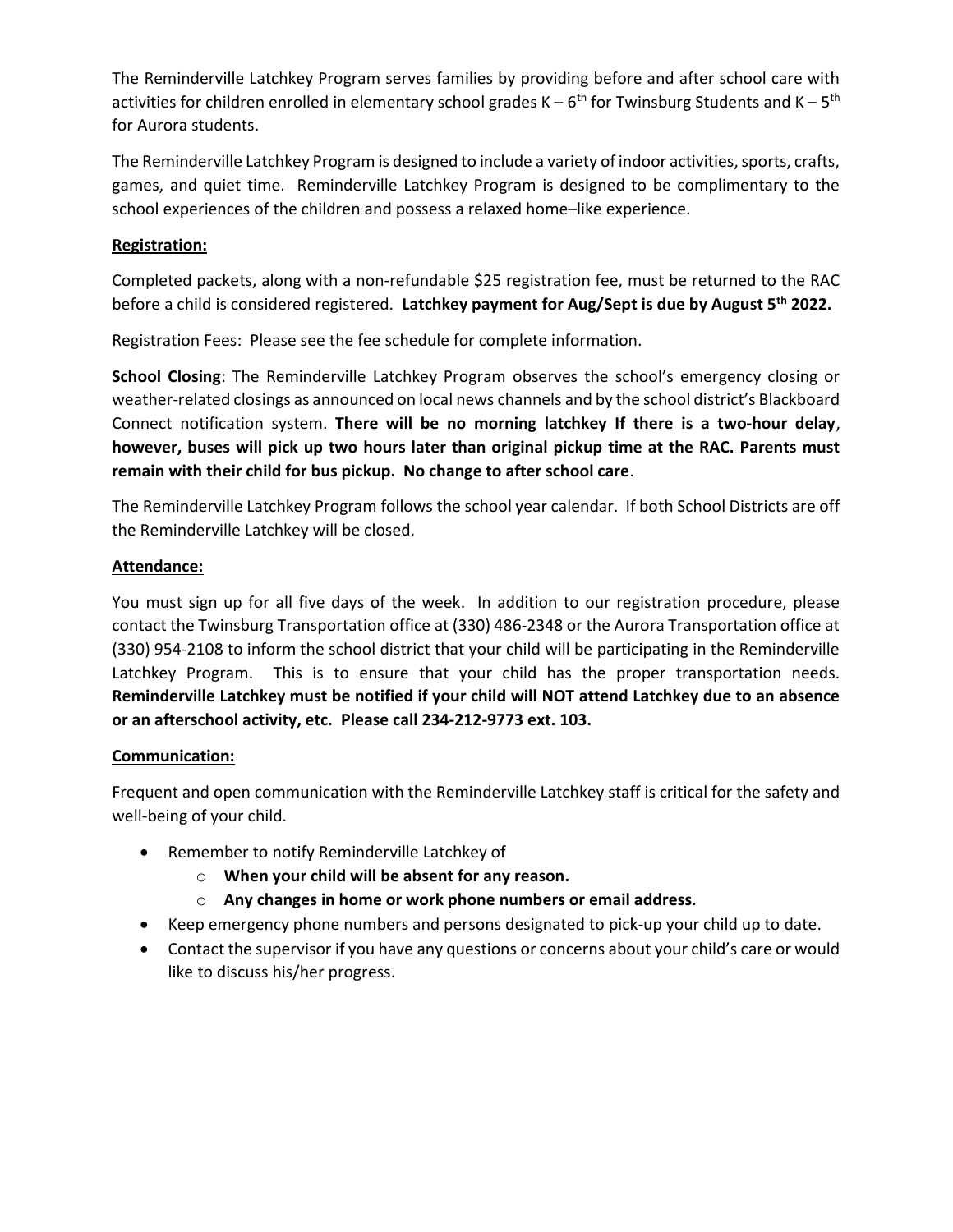The Reminderville Latchkey Program serves families by providing before and after school care with activities for children enrolled in elementary school grades  $K - 6^{th}$  for Twinsburg Students and  $K - 5^{th}$ for Aurora students.

The Reminderville Latchkey Program is designed to include a variety of indoor activities, sports, crafts, games, and quiet time. Reminderville Latchkey Program is designed to be complimentary to the school experiences of the children and possess a relaxed home–like experience.

# Registration:

Completed packets, along with a non-refundable \$25 registration fee, must be returned to the RAC before a child is considered registered. Latchkey payment for Aug/Sept is due by August 5<sup>th</sup> 2022.

Registration Fees: Please see the fee schedule for complete information.

School Closing: The Reminderville Latchkey Program observes the school's emergency closing or weather-related closings as announced on local news channels and by the school district's Blackboard Connect notification system. There will be no morning latchkey If there is a two-hour delay, however, buses will pick up two hours later than original pickup time at the RAC. Parents must remain with their child for bus pickup. No change to after school care.

The Reminderville Latchkey Program follows the school year calendar. If both School Districts are off the Reminderville Latchkey will be closed.

# Attendance:

You must sign up for all five days of the week. In addition to our registration procedure, please contact the Twinsburg Transportation office at (330) 486-2348 or the Aurora Transportation office at (330) 954-2108 to inform the school district that your child will be participating in the Reminderville Latchkey Program. This is to ensure that your child has the proper transportation needs. Reminderville Latchkey must be notified if your child will NOT attend Latchkey due to an absence or an afterschool activity, etc. Please call 234-212-9773 ext. 103.

# Communication:

Frequent and open communication with the Reminderville Latchkey staff is critical for the safety and well-being of your child.

- Remember to notify Reminderville Latchkey of
	- $\circ$  When your child will be absent for any reason.
	- $\circ$  Any changes in home or work phone numbers or email address.
- Keep emergency phone numbers and persons designated to pick-up your child up to date.
- Contact the supervisor if you have any questions or concerns about your child's care or would like to discuss his/her progress.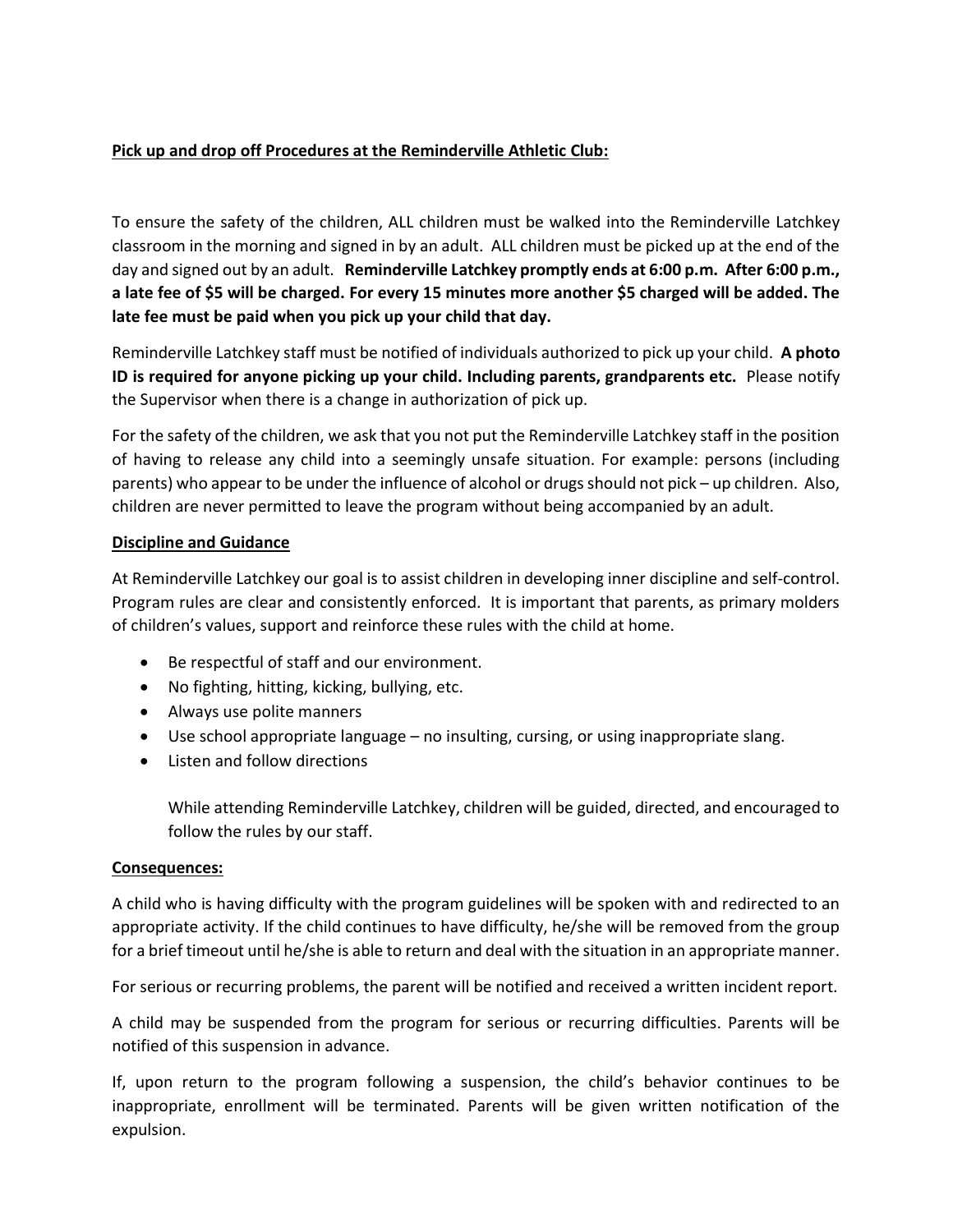# Pick up and drop off Procedures at the Reminderville Athletic Club:

To ensure the safety of the children, ALL children must be walked into the Reminderville Latchkey classroom in the morning and signed in by an adult. ALL children must be picked up at the end of the day and signed out by an adult. Reminderville Latchkey promptly ends at 6:00 p.m. After 6:00 p.m., a late fee of \$5 will be charged. For every 15 minutes more another \$5 charged will be added. The late fee must be paid when you pick up your child that day.

Reminderville Latchkey staff must be notified of individuals authorized to pick up your child. A photo ID is required for anyone picking up your child. Including parents, grandparents etc. Please notify the Supervisor when there is a change in authorization of pick up.

For the safety of the children, we ask that you not put the Reminderville Latchkey staff in the position of having to release any child into a seemingly unsafe situation. For example: persons (including parents) who appear to be under the influence of alcohol or drugs should not pick – up children. Also, children are never permitted to leave the program without being accompanied by an adult.

# Discipline and Guidance

At Reminderville Latchkey our goal is to assist children in developing inner discipline and self-control. Program rules are clear and consistently enforced. It is important that parents, as primary molders of children's values, support and reinforce these rules with the child at home.

- Be respectful of staff and our environment.
- No fighting, hitting, kicking, bullying, etc.
- Always use polite manners
- Use school appropriate language no insulting, cursing, or using inappropriate slang.
- Listen and follow directions

While attending Reminderville Latchkey, children will be guided, directed, and encouraged to follow the rules by our staff.

# Consequences:

A child who is having difficulty with the program guidelines will be spoken with and redirected to an appropriate activity. If the child continues to have difficulty, he/she will be removed from the group for a brief timeout until he/she is able to return and deal with the situation in an appropriate manner.

For serious or recurring problems, the parent will be notified and received a written incident report.

A child may be suspended from the program for serious or recurring difficulties. Parents will be notified of this suspension in advance.

If, upon return to the program following a suspension, the child's behavior continues to be inappropriate, enrollment will be terminated. Parents will be given written notification of the expulsion.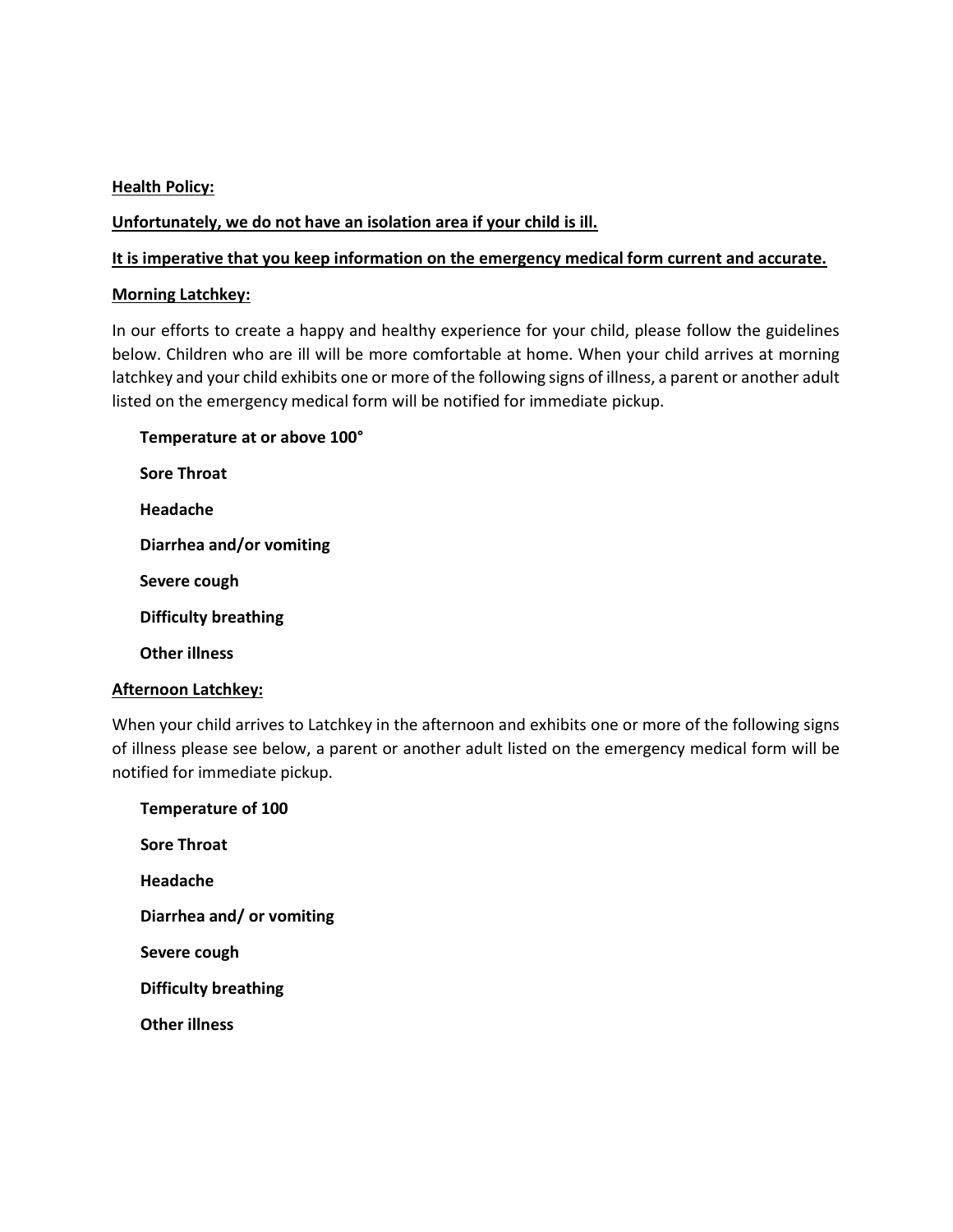### **Health Policy:**

### Unfortunately, we do not have an isolation area if your child is ill.

#### It is imperative that you keep information on the emergency medical form current and accurate.

#### Morning Latchkey:

In our efforts to create a happy and healthy experience for your child, please follow the guidelines below. Children who are ill will be more comfortable at home. When your child arrives at morning latchkey and your child exhibits one or more of the following signs of illness, a parent or another adult listed on the emergency medical form will be notified for immediate pickup.

Temperature at or above 100° Sore Throat Headache Diarrhea and/or vomiting Severe cough Difficulty breathing Other illness

#### Afternoon Latchkey:

When your child arrives to Latchkey in the afternoon and exhibits one or more of the following signs of illness please see below, a parent or another adult listed on the emergency medical form will be notified for immediate pickup.

 Temperature of 100 Sore Throat Headache Diarrhea and/ or vomiting Severe cough Difficulty breathing Other illness